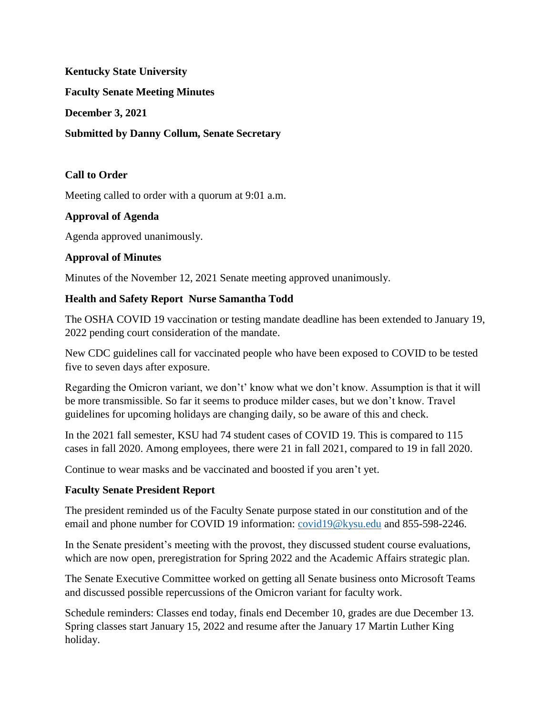**Kentucky State University**

**Faculty Senate Meeting Minutes**

**December 3, 2021**

**Submitted by Danny Collum, Senate Secretary**

### **Call to Order**

Meeting called to order with a quorum at 9:01 a.m.

### **Approval of Agenda**

Agenda approved unanimously.

### **Approval of Minutes**

Minutes of the November 12, 2021 Senate meeting approved unanimously.

#### **Health and Safety Report Nurse Samantha Todd**

The OSHA COVID 19 vaccination or testing mandate deadline has been extended to January 19, 2022 pending court consideration of the mandate.

New CDC guidelines call for vaccinated people who have been exposed to COVID to be tested five to seven days after exposure.

Regarding the Omicron variant, we don't' know what we don't know. Assumption is that it will be more transmissible. So far it seems to produce milder cases, but we don't know. Travel guidelines for upcoming holidays are changing daily, so be aware of this and check.

In the 2021 fall semester, KSU had 74 student cases of COVID 19. This is compared to 115 cases in fall 2020. Among employees, there were 21 in fall 2021, compared to 19 in fall 2020.

Continue to wear masks and be vaccinated and boosted if you aren't yet.

### **Faculty Senate President Report**

The president reminded us of the Faculty Senate purpose stated in our constitution and of the email and phone number for COVID 19 information: [covid19@kysu.edu](mailto:covid19@kysu.edu) and 855-598-2246.

In the Senate president's meeting with the provost, they discussed student course evaluations, which are now open, preregistration for Spring 2022 and the Academic Affairs strategic plan.

The Senate Executive Committee worked on getting all Senate business onto Microsoft Teams and discussed possible repercussions of the Omicron variant for faculty work.

Schedule reminders: Classes end today, finals end December 10, grades are due December 13. Spring classes start January 15, 2022 and resume after the January 17 Martin Luther King holiday.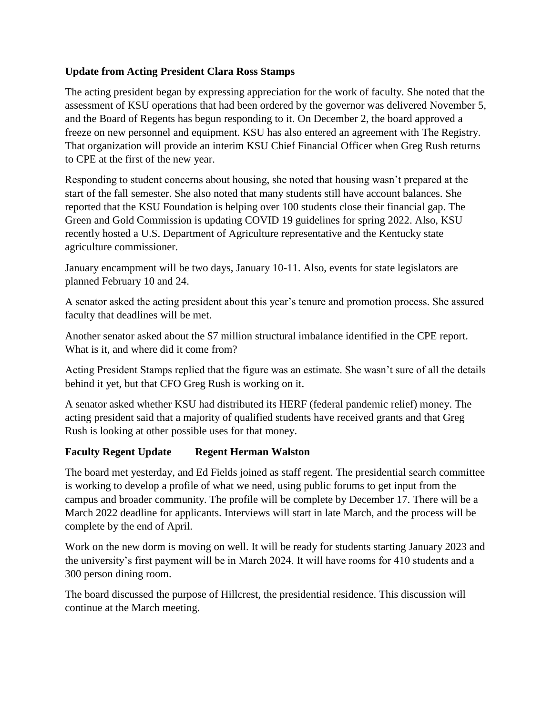## **Update from Acting President Clara Ross Stamps**

The acting president began by expressing appreciation for the work of faculty. She noted that the assessment of KSU operations that had been ordered by the governor was delivered November 5, and the Board of Regents has begun responding to it. On December 2, the board approved a freeze on new personnel and equipment. KSU has also entered an agreement with The Registry. That organization will provide an interim KSU Chief Financial Officer when Greg Rush returns to CPE at the first of the new year.

Responding to student concerns about housing, she noted that housing wasn't prepared at the start of the fall semester. She also noted that many students still have account balances. She reported that the KSU Foundation is helping over 100 students close their financial gap. The Green and Gold Commission is updating COVID 19 guidelines for spring 2022. Also, KSU recently hosted a U.S. Department of Agriculture representative and the Kentucky state agriculture commissioner.

January encampment will be two days, January 10-11. Also, events for state legislators are planned February 10 and 24.

A senator asked the acting president about this year's tenure and promotion process. She assured faculty that deadlines will be met.

Another senator asked about the \$7 million structural imbalance identified in the CPE report. What is it, and where did it come from?

Acting President Stamps replied that the figure was an estimate. She wasn't sure of all the details behind it yet, but that CFO Greg Rush is working on it.

A senator asked whether KSU had distributed its HERF (federal pandemic relief) money. The acting president said that a majority of qualified students have received grants and that Greg Rush is looking at other possible uses for that money.

# **Faculty Regent Update Regent Herman Walston**

The board met yesterday, and Ed Fields joined as staff regent. The presidential search committee is working to develop a profile of what we need, using public forums to get input from the campus and broader community. The profile will be complete by December 17. There will be a March 2022 deadline for applicants. Interviews will start in late March, and the process will be complete by the end of April.

Work on the new dorm is moving on well. It will be ready for students starting January 2023 and the university's first payment will be in March 2024. It will have rooms for 410 students and a 300 person dining room.

The board discussed the purpose of Hillcrest, the presidential residence. This discussion will continue at the March meeting.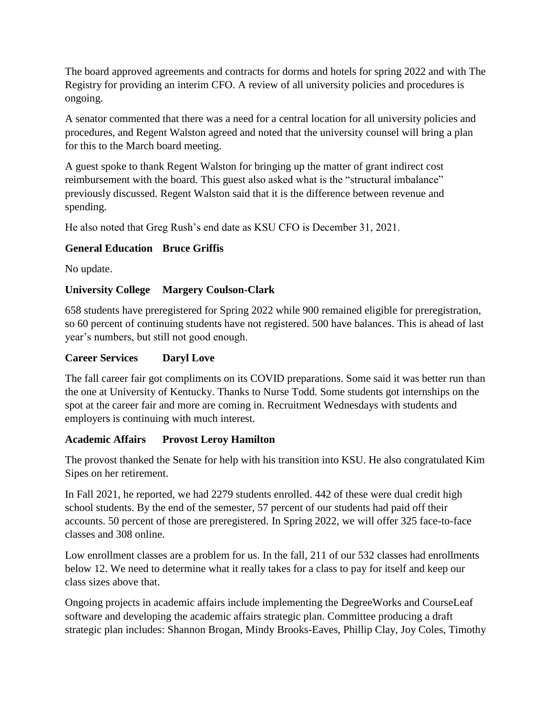The board approved agreements and contracts for dorms and hotels for spring 2022 and with The Registry for providing an interim CFO. A review of all university policies and procedures is ongoing.

A senator commented that there was a need for a central location for all university policies and procedures, and Regent Walston agreed and noted that the university counsel will bring a plan for this to the March board meeting.

A guest spoke to thank Regent Walston for bringing up the matter of grant indirect cost reimbursement with the board. This guest also asked what is the "structural imbalance" previously discussed. Regent Walston said that it is the difference between revenue and spending.

He also noted that Greg Rush's end date as KSU CFO is December 31, 2021.

# **General Education Bruce Griffis**

No update.

## **University College Margery Coulson-Clark**

658 students have preregistered for Spring 2022 while 900 remained eligible for preregistration, so 60 percent of continuing students have not registered. 500 have balances. This is ahead of last year's numbers, but still not good enough.

### **Career Services Daryl Love**

The fall career fair got compliments on its COVID preparations. Some said it was better run than the one at University of Kentucky. Thanks to Nurse Todd. Some students got internships on the spot at the career fair and more are coming in. Recruitment Wednesdays with students and employers is continuing with much interest.

### **Academic Affairs Provost Leroy Hamilton**

The provost thanked the Senate for help with his transition into KSU. He also congratulated Kim Sipes on her retirement.

In Fall 2021, he reported, we had 2279 students enrolled. 442 of these were dual credit high school students. By the end of the semester, 57 percent of our students had paid off their accounts. 50 percent of those are preregistered. In Spring 2022, we will offer 325 face-to-face classes and 308 online.

Low enrollment classes are a problem for us. In the fall, 211 of our 532 classes had enrollments below 12. We need to determine what it really takes for a class to pay for itself and keep our class sizes above that.

Ongoing projects in academic affairs include implementing the DegreeWorks and CourseLeaf software and developing the academic affairs strategic plan. Committee producing a draft strategic plan includes: Shannon Brogan, Mindy Brooks-Eaves, Phillip Clay, Joy Coles, Timothy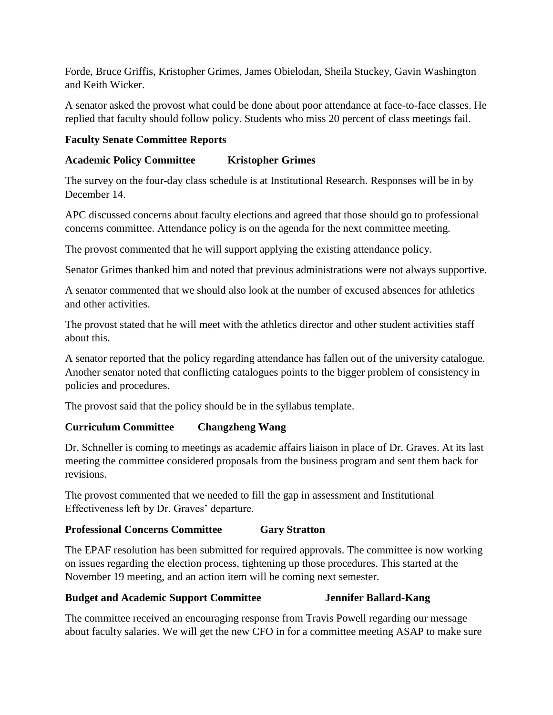Forde, Bruce Griffis, Kristopher Grimes, James Obielodan, Sheila Stuckey, Gavin Washington and Keith Wicker.

A senator asked the provost what could be done about poor attendance at face-to-face classes. He replied that faculty should follow policy. Students who miss 20 percent of class meetings fail.

## **Faculty Senate Committee Reports**

## **Academic Policy Committee Kristopher Grimes**

The survey on the four-day class schedule is at Institutional Research. Responses will be in by December 14.

APC discussed concerns about faculty elections and agreed that those should go to professional concerns committee. Attendance policy is on the agenda for the next committee meeting.

The provost commented that he will support applying the existing attendance policy.

Senator Grimes thanked him and noted that previous administrations were not always supportive.

A senator commented that we should also look at the number of excused absences for athletics and other activities.

The provost stated that he will meet with the athletics director and other student activities staff about this.

A senator reported that the policy regarding attendance has fallen out of the university catalogue. Another senator noted that conflicting catalogues points to the bigger problem of consistency in policies and procedures.

The provost said that the policy should be in the syllabus template.

# **Curriculum Committee Changzheng Wang**

Dr. Schneller is coming to meetings as academic affairs liaison in place of Dr. Graves. At its last meeting the committee considered proposals from the business program and sent them back for revisions.

The provost commented that we needed to fill the gap in assessment and Institutional Effectiveness left by Dr. Graves' departure.

# **Professional Concerns Committee Gary Stratton**

The EPAF resolution has been submitted for required approvals. The committee is now working on issues regarding the election process, tightening up those procedures. This started at the November 19 meeting, and an action item will be coming next semester.

### **Budget and Academic Support Committee Jennifer Ballard-Kang**

The committee received an encouraging response from Travis Powell regarding our message about faculty salaries. We will get the new CFO in for a committee meeting ASAP to make sure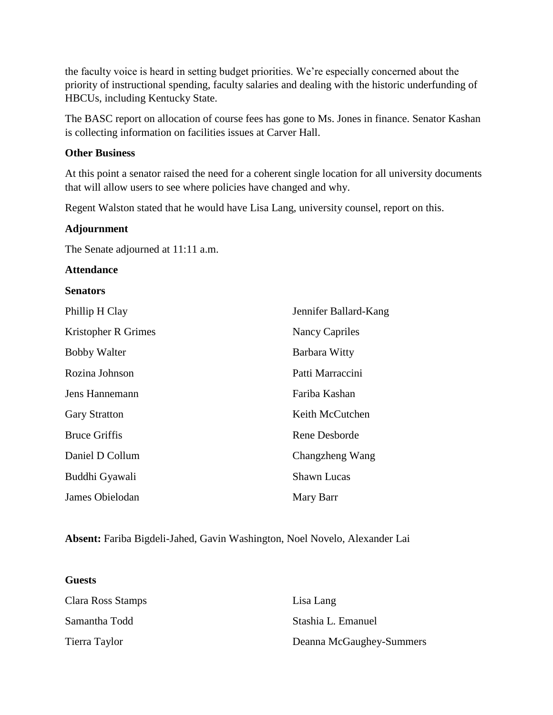the faculty voice is heard in setting budget priorities. We're especially concerned about the priority of instructional spending, faculty salaries and dealing with the historic underfunding of HBCUs, including Kentucky State.

The BASC report on allocation of course fees has gone to Ms. Jones in finance. Senator Kashan is collecting information on facilities issues at Carver Hall.

#### **Other Business**

At this point a senator raised the need for a coherent single location for all university documents that will allow users to see where policies have changed and why.

Regent Walston stated that he would have Lisa Lang, university counsel, report on this.

#### **Adjournment**

The Senate adjourned at 11:11 a.m.

#### **Attendance**

#### **Senators**

**Guests**

| Phillip H Clay       | Jennifer Ballard-Kang |
|----------------------|-----------------------|
| Kristopher R Grimes  | Nancy Capriles        |
| <b>Bobby Walter</b>  | Barbara Witty         |
| Rozina Johnson       | Patti Marraccini      |
| Jens Hannemann       | Fariba Kashan         |
| <b>Gary Stratton</b> | Keith McCutchen       |
| <b>Bruce Griffis</b> | Rene Desborde         |
| Daniel D Collum      | Changzheng Wang       |
| Buddhi Gyawali       | <b>Shawn Lucas</b>    |
| James Obielodan      | Mary Barr             |

**Absent:** Fariba Bigdeli-Jahed, Gavin Washington, Noel Novelo, Alexander Lai

| Clara Ross Stamps | Lisa Lang                |
|-------------------|--------------------------|
| Samantha Todd     | Stashia L. Emanuel       |
| Tierra Taylor     | Deanna McGaughey-Summers |